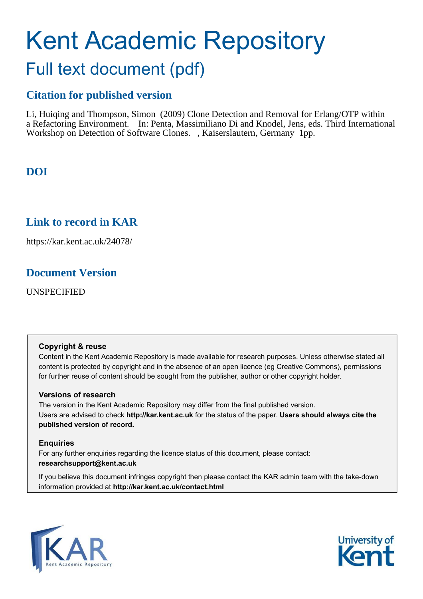# Kent Academic Repository Full text document (pdf)

# **Citation for published version**

Li, Huiqing and Thompson, Simon (2009) Clone Detection and Removal for Erlang/OTP within a Refactoring Environment. In: Penta, Massimiliano Di and Knodel, Jens, eds. Third International Workshop on Detection of Software Clones. , Kaiserslautern, Germany 1pp.

# **DOI**

# **Link to record in KAR**

https://kar.kent.ac.uk/24078/

# **Document Version**

UNSPECIFIED

## **Copyright & reuse**

Content in the Kent Academic Repository is made available for research purposes. Unless otherwise stated all content is protected by copyright and in the absence of an open licence (eg Creative Commons), permissions for further reuse of content should be sought from the publisher, author or other copyright holder.

## **Versions of research**

The version in the Kent Academic Repository may differ from the final published version. Users are advised to check **http://kar.kent.ac.uk** for the status of the paper. **Users should always cite the published version of record.**

## **Enquiries**

For any further enquiries regarding the licence status of this document, please contact: **researchsupport@kent.ac.uk**

If you believe this document infringes copyright then please contact the KAR admin team with the take-down information provided at **http://kar.kent.ac.uk/contact.html**



<span id="page-0-1"></span><span id="page-0-0"></span>